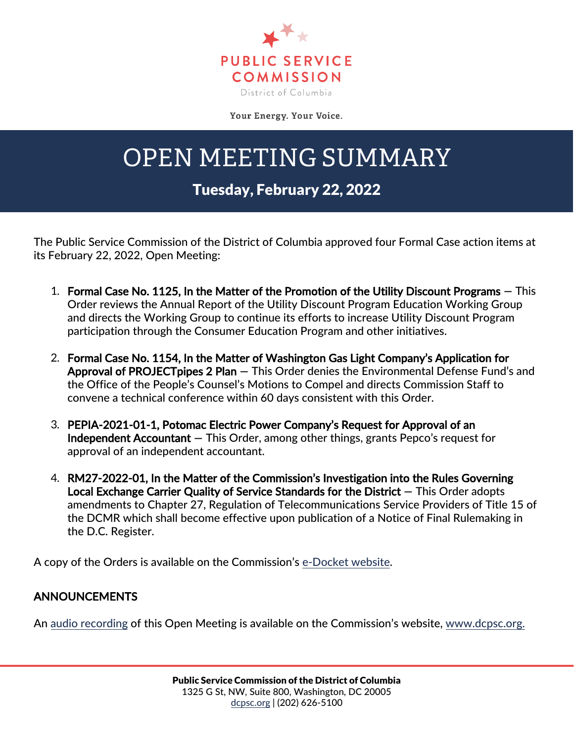

Your Energy. Your Voice.

## OPEN MEETING SUMMARY

## Tuesday, February 22, 2022

The Public Service Commission of the District of Columbia approved four Formal Case action items at its February 22, 2022, Open Meeting:

- 1. Formal Case No. 1125, In the Matter of the Promotion of the Utility Discount Programs **—** This Order reviews the Annual Report of the Utility Discount Program Education Working Group and directs the Working Group to continue its efforts to increase Utility Discount Program participation through the Consumer Education Program and other initiatives.
- 2. Formal Case No. 1154, In the Matter of Washington Gas Light Company's Application for Approval of PROJECTpipes 2 Plan **—** This Order denies the Environmental Defense Fund's and the Office of the People's Counsel's Motions to Compel and directs Commission Staff to convene a technical conference within 60 days consistent with this Order.
- 3. PEPIA-2021-01-1, Potomac Electric Power Company's Request for Approval of an Independent Accountant **—** This Order, among other things, grants Pepco's request for approval of an independent accountant.
- 4. RM27-2022-01, In the Matter of the Commission's Investigation into the Rules Governing Local Exchange Carrier Quality of Service Standards for the District **—** This Order adopts amendments to Chapter 27, Regulation of Telecommunications Service Providers of Title 15 of the DCMR which shall become effective upon publication of a Notice of Final Rulemaking in the D.C. Register.

A copy of the Orders is available on the Commission's [e-Docket website.](https://edocket.dcpsc.org/public/search)

## ANNOUNCEMENTS

An [audio recording](https://dcpsc.org/Newsroom/Watch-Open-Meetings.aspx) of this Open Meeting is available on the Commission's website, [www.dcpsc.org.](http://www.dcpsc.org/)